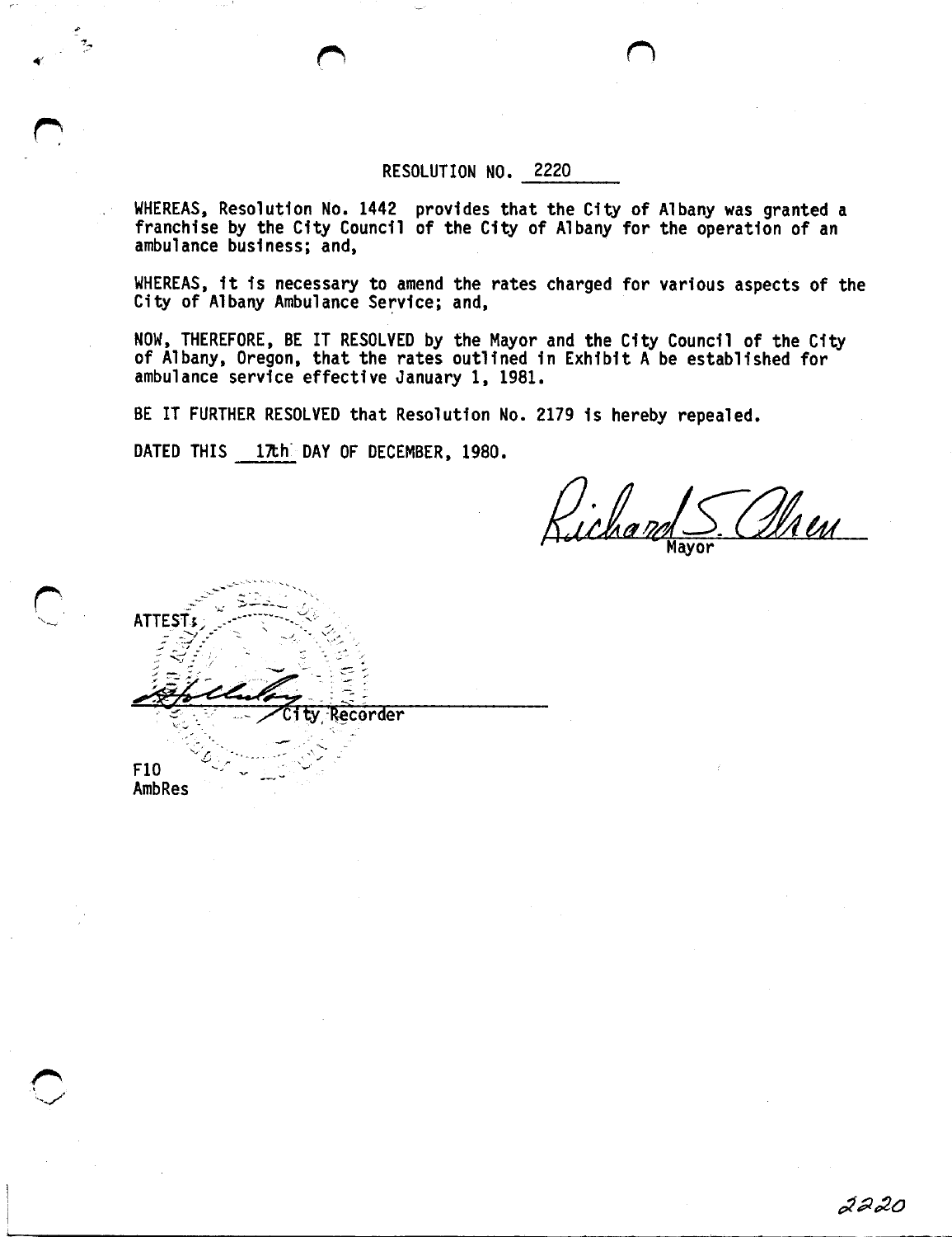## RESOLUTION NO. 2220

WHEREAS, Resolution No. <sup>1442</sup> provides that the City of Albany was granted <sup>a</sup> franchise by the City Council of the City of Albany for the operation of an ambulance business; and,

WHEREAS, it is necessary to amend the rates charged for various aspects of the City of Albany Ambulance Service; and,

NOW, THEREFORE, BE IT RESOLVED by the Mayor and the City Council of the City of Albany, Oregon, that the rates outlined in Exhibit <sup>A</sup> be established for ambulance service effective January 1, 1981.

BE IT FURTHER RESOLVED that Resolution No. <sup>2179</sup> is hereby repealed.

DATED THIS 17th DAY OF DECEMBER, 1980.

Richan <u>Dheu</u> Mayor

**ATTES** Recorder F10 **AmbRes**